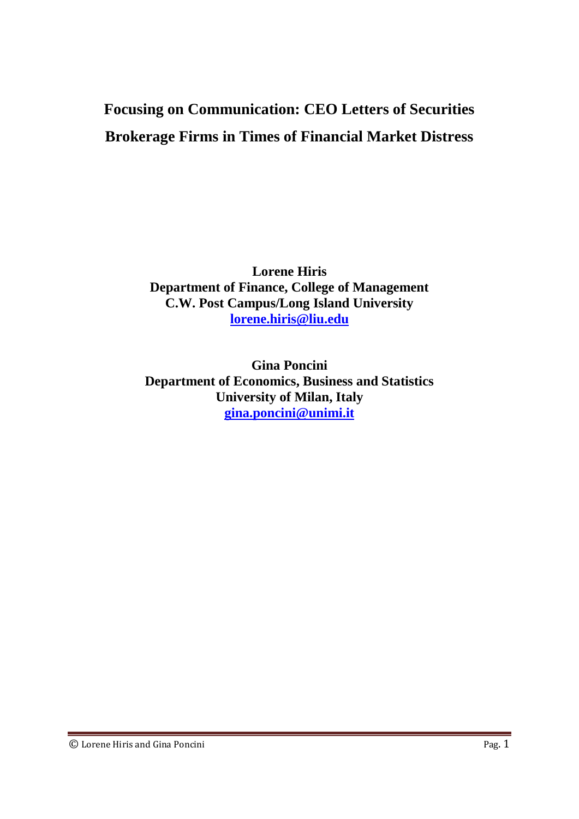# **Focusing on Communication: CEO Letters of Securities Brokerage Firms in Times of Financial Market Distress**

**Lorene Hiris Department of Finance, College of Management C.W. Post Campus/Long Island University [lorene.hiris@liu.edu](mailto:lorene.hiris@liu.edu)**

**Gina Poncini Department of Economics, Business and Statistics University of Milan, Italy [gina.poncini@unimi.it](mailto:gina.poncini@unimi.it)**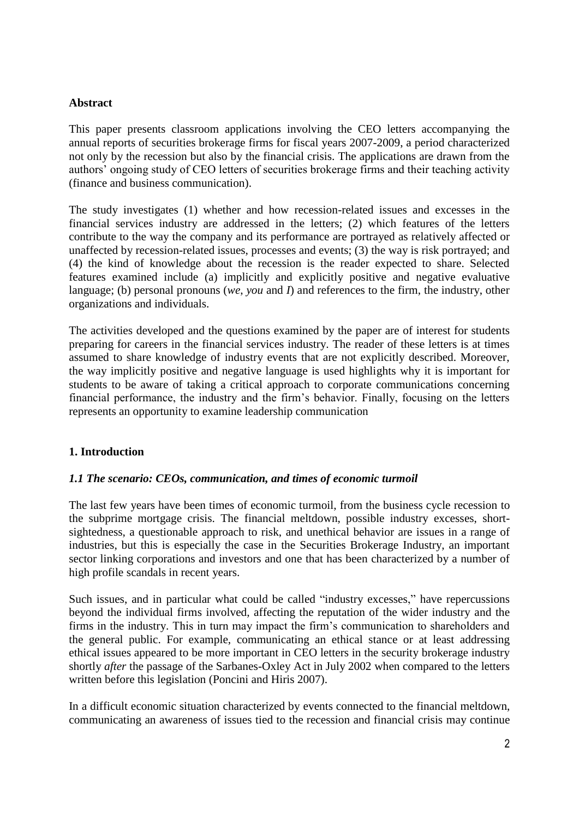## **Abstract**

This paper presents classroom applications involving the CEO letters accompanying the annual reports of securities brokerage firms for fiscal years 2007-2009, a period characterized not only by the recession but also by the financial crisis. The applications are drawn from the authors' ongoing study of CEO letters of securities brokerage firms and their teaching activity (finance and business communication).

The study investigates (1) whether and how recession-related issues and excesses in the financial services industry are addressed in the letters; (2) which features of the letters contribute to the way the company and its performance are portrayed as relatively affected or unaffected by recession-related issues, processes and events; (3) the way is risk portrayed; and (4) the kind of knowledge about the recession is the reader expected to share. Selected features examined include (a) implicitly and explicitly positive and negative evaluative language; (b) personal pronouns (*we*, *you* and *I*) and references to the firm, the industry, other organizations and individuals.

The activities developed and the questions examined by the paper are of interest for students preparing for careers in the financial services industry. The reader of these letters is at times assumed to share knowledge of industry events that are not explicitly described. Moreover, the way implicitly positive and negative language is used highlights why it is important for students to be aware of taking a critical approach to corporate communications concerning financial performance, the industry and the firm's behavior. Finally, focusing on the letters represents an opportunity to examine leadership communication

# **1. Introduction**

## *1.1 The scenario: CEOs, communication, and times of economic turmoil*

The last few years have been times of economic turmoil, from the business cycle recession to the subprime mortgage crisis. The financial meltdown, possible industry excesses, shortsightedness, a questionable approach to risk, and unethical behavior are issues in a range of industries, but this is especially the case in the Securities Brokerage Industry, an important sector linking corporations and investors and one that has been characterized by a number of high profile scandals in recent years.

Such issues, and in particular what could be called "industry excesses," have repercussions beyond the individual firms involved, affecting the reputation of the wider industry and the firms in the industry. This in turn may impact the firm's communication to shareholders and the general public. For example, communicating an ethical stance or at least addressing ethical issues appeared to be more important in CEO letters in the security brokerage industry shortly *after* the passage of the Sarbanes-Oxley Act in July 2002 when compared to the letters written before this legislation (Poncini and Hiris 2007).

In a difficult economic situation characterized by events connected to the financial meltdown, communicating an awareness of issues tied to the recession and financial crisis may continue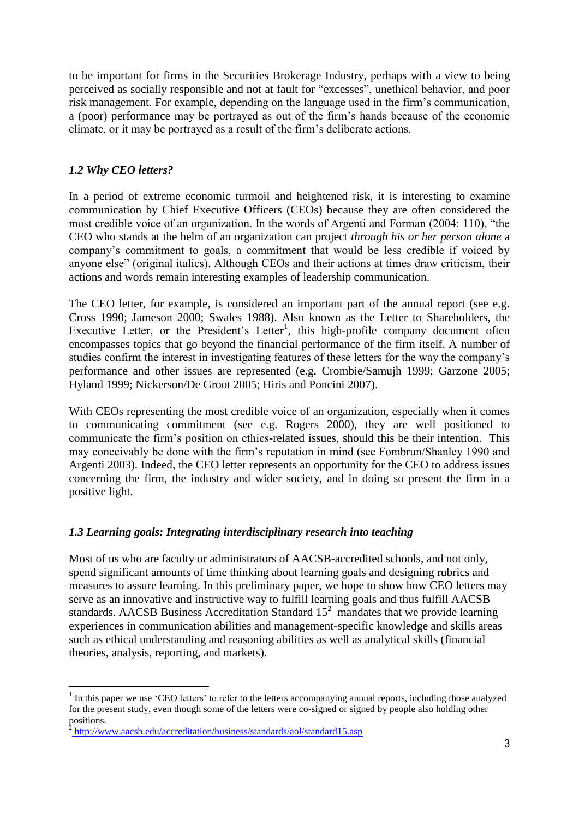to be important for firms in the Securities Brokerage Industry, perhaps with a view to being perceived as socially responsible and not at fault for "excesses", unethical behavior, and poor risk management. For example, depending on the language used in the firm's communication, a (poor) performance may be portrayed as out of the firm's hands because of the economic climate, or it may be portrayed as a result of the firm's deliberate actions.

# *1.2 Why CEO letters?*

In a period of extreme economic turmoil and heightened risk, it is interesting to examine communication by Chief Executive Officers (CEOs) because they are often considered the most credible voice of an organization. In the words of Argenti and Forman (2004: 110), "the CEO who stands at the helm of an organization can project *through his or her person alone* a company's commitment to goals, a commitment that would be less credible if voiced by anyone else" (original italics). Although CEOs and their actions at times draw criticism, their actions and words remain interesting examples of leadership communication.

The CEO letter, for example, is considered an important part of the annual report (see e.g. Cross 1990; Jameson 2000; Swales 1988). Also known as the Letter to Shareholders, the Executive Letter, or the President's Letter<sup>1</sup>, this high-profile company document often encompasses topics that go beyond the financial performance of the firm itself. A number of studies confirm the interest in investigating features of these letters for the way the company's performance and other issues are represented (e.g. Crombie/Samujh 1999; Garzone 2005; Hyland 1999; Nickerson/De Groot 2005; Hiris and Poncini 2007).

With CEOs representing the most credible voice of an organization, especially when it comes to communicating commitment (see e.g. Rogers 2000), they are well positioned to communicate the firm's position on ethics-related issues, should this be their intention. This may conceivably be done with the firm's reputation in mind (see Fombrun/Shanley 1990 and Argenti 2003). Indeed, the CEO letter represents an opportunity for the CEO to address issues concerning the firm, the industry and wider society, and in doing so present the firm in a positive light.

# *1.3 Learning goals: Integrating interdisciplinary research into teaching*

Most of us who are faculty or administrators of AACSB-accredited schools, and not only, spend significant amounts of time thinking about learning goals and designing rubrics and measures to assure learning. In this preliminary paper, we hope to show how CEO letters may serve as an innovative and instructive way to fulfill learning goals and thus fulfill AACSB standards. AACSB Business Accreditation Standard  $15<sup>2</sup>$  mandates that we provide learning experiences in communication abilities and management-specific knowledge and skills areas such as ethical understanding and reasoning abilities as well as analytical skills (financial theories, analysis, reporting, and markets).

 $\overline{a}$  $<sup>1</sup>$  In this paper we use 'CEO letters' to refer to the letters accompanying annual reports, including those analyzed</sup> for the present study, even though some of the letters were co-signed or signed by people also holding other positions.

<http://www.aacsb.edu/accreditation/business/standards/aol/standard15.asp>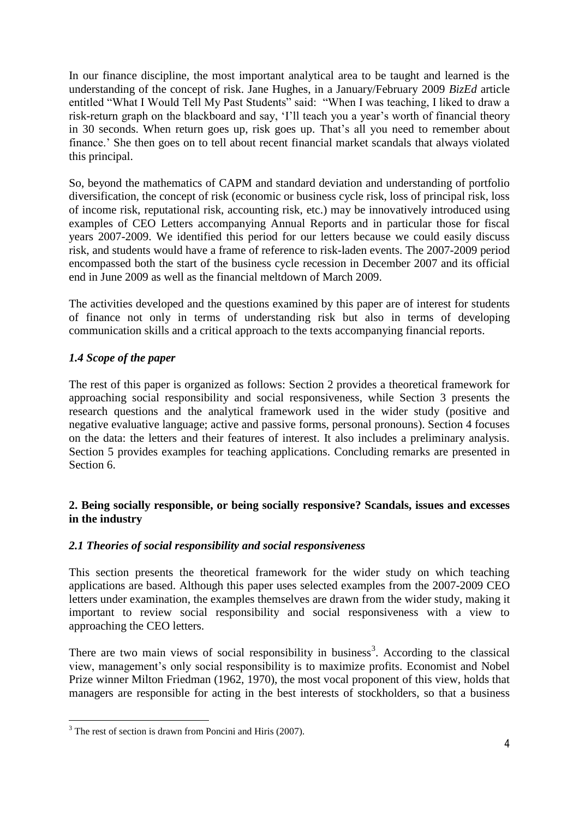In our finance discipline, the most important analytical area to be taught and learned is the understanding of the concept of risk. Jane Hughes, in a January/February 2009 *BizEd* article entitled "What I Would Tell My Past Students" said: "When I was teaching, I liked to draw a risk-return graph on the blackboard and say, 'I'll teach you a year's worth of financial theory in 30 seconds. When return goes up, risk goes up. That's all you need to remember about finance.' She then goes on to tell about recent financial market scandals that always violated this principal.

So, beyond the mathematics of CAPM and standard deviation and understanding of portfolio diversification, the concept of risk (economic or business cycle risk, loss of principal risk, loss of income risk, reputational risk, accounting risk, etc.) may be innovatively introduced using examples of CEO Letters accompanying Annual Reports and in particular those for fiscal years 2007-2009. We identified this period for our letters because we could easily discuss risk, and students would have a frame of reference to risk-laden events. The 2007-2009 period encompassed both the start of the business cycle recession in December 2007 and its official end in June 2009 as well as the financial meltdown of March 2009.

The activities developed and the questions examined by this paper are of interest for students of finance not only in terms of understanding risk but also in terms of developing communication skills and a critical approach to the texts accompanying financial reports.

# *1.4 Scope of the paper*

The rest of this paper is organized as follows: Section 2 provides a theoretical framework for approaching social responsibility and social responsiveness, while Section 3 presents the research questions and the analytical framework used in the wider study (positive and negative evaluative language; active and passive forms, personal pronouns). Section 4 focuses on the data: the letters and their features of interest. It also includes a preliminary analysis. Section 5 provides examples for teaching applications. Concluding remarks are presented in Section 6.

# **2. Being socially responsible, or being socially responsive? Scandals, issues and excesses in the industry**

# *2.1 Theories of social responsibility and social responsiveness*

This section presents the theoretical framework for the wider study on which teaching applications are based. Although this paper uses selected examples from the 2007-2009 CEO letters under examination, the examples themselves are drawn from the wider study, making it important to review social responsibility and social responsiveness with a view to approaching the CEO letters.

There are two main views of social responsibility in business<sup>3</sup>. According to the classical view, management's only social responsibility is to maximize profits. Economist and Nobel Prize winner Milton Friedman (1962, 1970), the most vocal proponent of this view, holds that managers are responsible for acting in the best interests of stockholders, so that a business

 $\overline{a}$  $3$  The rest of section is drawn from Poncini and Hiris (2007).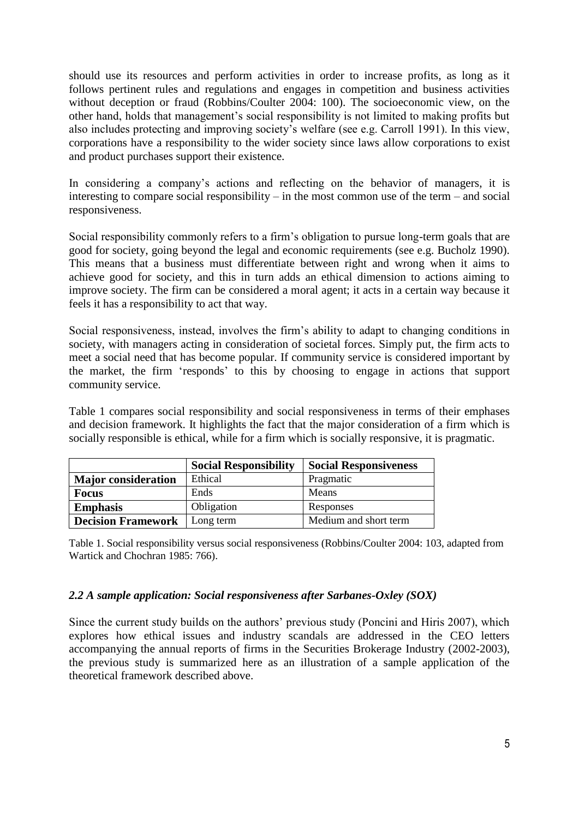should use its resources and perform activities in order to increase profits, as long as it follows pertinent rules and regulations and engages in competition and business activities without deception or fraud (Robbins/Coulter 2004: 100). The socioeconomic view, on the other hand, holds that management's social responsibility is not limited to making profits but also includes protecting and improving society's welfare (see e.g. Carroll 1991). In this view, corporations have a responsibility to the wider society since laws allow corporations to exist and product purchases support their existence.

In considering a company's actions and reflecting on the behavior of managers, it is interesting to compare social responsibility – in the most common use of the term – and social responsiveness.

Social responsibility commonly refers to a firm's obligation to pursue long-term goals that are good for society, going beyond the legal and economic requirements (see e.g. Bucholz 1990). This means that a business must differentiate between right and wrong when it aims to achieve good for society, and this in turn adds an ethical dimension to actions aiming to improve society. The firm can be considered a moral agent; it acts in a certain way because it feels it has a responsibility to act that way.

Social responsiveness, instead, involves the firm's ability to adapt to changing conditions in society, with managers acting in consideration of societal forces. Simply put, the firm acts to meet a social need that has become popular. If community service is considered important by the market, the firm 'responds' to this by choosing to engage in actions that support community service.

Table 1 compares social responsibility and social responsiveness in terms of their emphases and decision framework. It highlights the fact that the major consideration of a firm which is socially responsible is ethical, while for a firm which is socially responsive, it is pragmatic.

|                            | <b>Social Responsibility</b> | <b>Social Responsiveness</b> |
|----------------------------|------------------------------|------------------------------|
| <b>Major</b> consideration | Ethical                      | Pragmatic                    |
| <b>Focus</b>               | Ends                         | Means                        |
| <b>Emphasis</b>            | Obligation                   | Responses                    |
| <b>Decision Framework</b>  | Long term                    | Medium and short term        |

Table 1. Social responsibility versus social responsiveness (Robbins/Coulter 2004: 103, adapted from Wartick and Chochran 1985: 766).

# *2.2 A sample application: Social responsiveness after Sarbanes-Oxley (SOX)*

Since the current study builds on the authors' previous study (Poncini and Hiris 2007), which explores how ethical issues and industry scandals are addressed in the CEO letters accompanying the annual reports of firms in the Securities Brokerage Industry (2002-2003), the previous study is summarized here as an illustration of a sample application of the theoretical framework described above.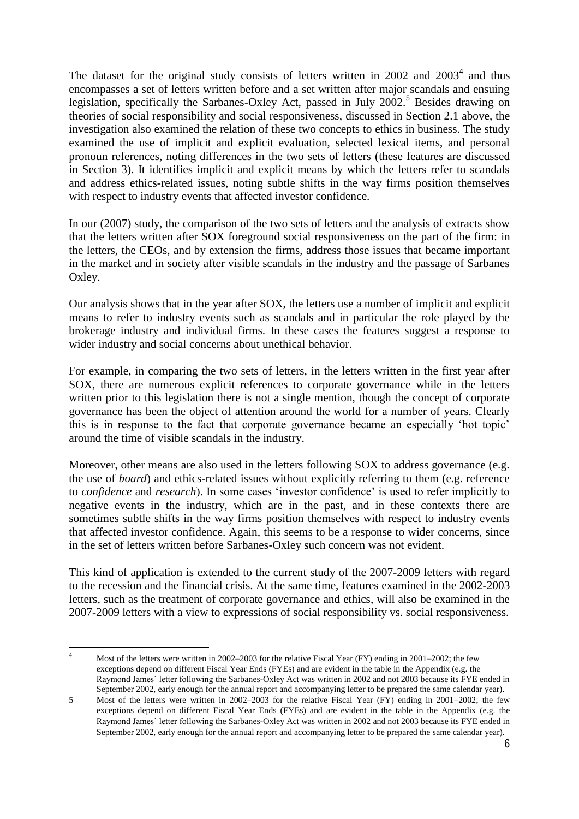The dataset for the original study consists of letters written in  $2002$  and  $2003<sup>4</sup>$  and thus encompasses a set of letters written before and a set written after major scandals and ensuing legislation, specifically the Sarbanes-Oxley Act, passed in July 2002.<sup>5</sup> Besides drawing on theories of social responsibility and social responsiveness, discussed in Section 2.1 above, the investigation also examined the relation of these two concepts to ethics in business. The study examined the use of implicit and explicit evaluation, selected lexical items, and personal pronoun references, noting differences in the two sets of letters (these features are discussed in Section 3). It identifies implicit and explicit means by which the letters refer to scandals and address ethics-related issues, noting subtle shifts in the way firms position themselves with respect to industry events that affected investor confidence.

In our (2007) study, the comparison of the two sets of letters and the analysis of extracts show that the letters written after SOX foreground social responsiveness on the part of the firm: in the letters, the CEOs, and by extension the firms, address those issues that became important in the market and in society after visible scandals in the industry and the passage of Sarbanes Oxley.

Our analysis shows that in the year after SOX, the letters use a number of implicit and explicit means to refer to industry events such as scandals and in particular the role played by the brokerage industry and individual firms. In these cases the features suggest a response to wider industry and social concerns about unethical behavior.

For example, in comparing the two sets of letters, in the letters written in the first year after SOX, there are numerous explicit references to corporate governance while in the letters written prior to this legislation there is not a single mention, though the concept of corporate governance has been the object of attention around the world for a number of years. Clearly this is in response to the fact that corporate governance became an especially 'hot topic' around the time of visible scandals in the industry.

Moreover, other means are also used in the letters following SOX to address governance (e.g. the use of *board*) and ethics-related issues without explicitly referring to them (e.g. reference to *confidence* and *research*). In some cases 'investor confidence' is used to refer implicitly to negative events in the industry, which are in the past, and in these contexts there are sometimes subtle shifts in the way firms position themselves with respect to industry events that affected investor confidence. Again, this seems to be a response to wider concerns, since in the set of letters written before Sarbanes-Oxley such concern was not evident.

This kind of application is extended to the current study of the 2007-2009 letters with regard to the recession and the financial crisis. At the same time, features examined in the 2002-2003 letters, such as the treatment of corporate governance and ethics, will also be examined in the 2007-2009 letters with a view to expressions of social responsibility vs. social responsiveness.

Most of the letters were written in 2002–2003 for the relative Fiscal Year (FY) ending in 2001–2002; the few exceptions depend on different Fiscal Year Ends (FYEs) and are evident in the table in the Appendix (e.g. the Raymond James' letter following the Sarbanes-Oxley Act was written in 2002 and not 2003 because its FYE ended in September 2002, early enough for the annual report and accompanying letter to be prepared the same calendar year).

 $\overline{4}$ 

<sup>5</sup> Most of the letters were written in 2002–2003 for the relative Fiscal Year (FY) ending in 2001–2002; the few exceptions depend on different Fiscal Year Ends (FYEs) and are evident in the table in the Appendix (e.g. the Raymond James' letter following the Sarbanes-Oxley Act was written in 2002 and not 2003 because its FYE ended in September 2002, early enough for the annual report and accompanying letter to be prepared the same calendar year).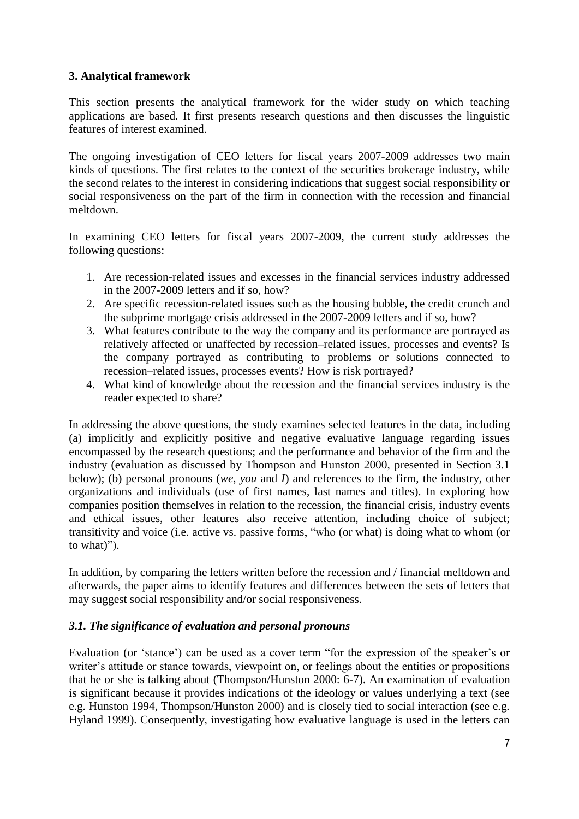# **3. Analytical framework**

This section presents the analytical framework for the wider study on which teaching applications are based. It first presents research questions and then discusses the linguistic features of interest examined.

The ongoing investigation of CEO letters for fiscal years 2007-2009 addresses two main kinds of questions. The first relates to the context of the securities brokerage industry, while the second relates to the interest in considering indications that suggest social responsibility or social responsiveness on the part of the firm in connection with the recession and financial meltdown.

In examining CEO letters for fiscal years 2007-2009, the current study addresses the following questions:

- 1. Are recession-related issues and excesses in the financial services industry addressed in the 2007-2009 letters and if so, how?
- 2. Are specific recession-related issues such as the housing bubble, the credit crunch and the subprime mortgage crisis addressed in the 2007-2009 letters and if so, how?
- 3. What features contribute to the way the company and its performance are portrayed as relatively affected or unaffected by recession–related issues, processes and events? Is the company portrayed as contributing to problems or solutions connected to recession–related issues, processes events? How is risk portrayed?
- 4. What kind of knowledge about the recession and the financial services industry is the reader expected to share?

In addressing the above questions, the study examines selected features in the data, including (a) implicitly and explicitly positive and negative evaluative language regarding issues encompassed by the research questions; and the performance and behavior of the firm and the industry (evaluation as discussed by Thompson and Hunston 2000, presented in Section 3.1 below); (b) personal pronouns (*we*, *you* and *I*) and references to the firm, the industry, other organizations and individuals (use of first names, last names and titles). In exploring how companies position themselves in relation to the recession, the financial crisis, industry events and ethical issues, other features also receive attention, including choice of subject; transitivity and voice (i.e. active vs. passive forms, "who (or what) is doing what to whom (or to what)").

In addition, by comparing the letters written before the recession and / financial meltdown and afterwards, the paper aims to identify features and differences between the sets of letters that may suggest social responsibility and/or social responsiveness.

# *3.1. The significance of evaluation and personal pronouns*

Evaluation (or 'stance') can be used as a cover term "for the expression of the speaker's or writer's attitude or stance towards, viewpoint on, or feelings about the entities or propositions that he or she is talking about (Thompson/Hunston 2000: 6-7). An examination of evaluation is significant because it provides indications of the ideology or values underlying a text (see e.g. Hunston 1994, Thompson/Hunston 2000) and is closely tied to social interaction (see e.g. Hyland 1999). Consequently, investigating how evaluative language is used in the letters can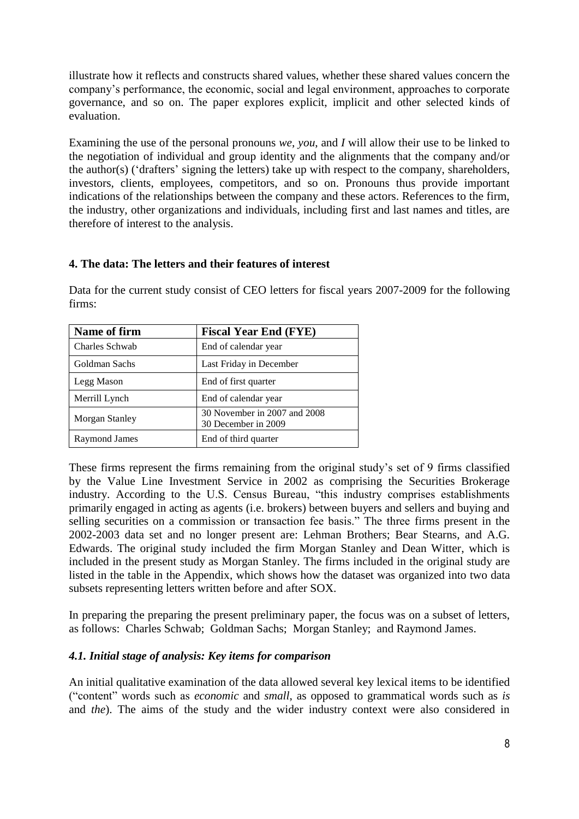illustrate how it reflects and constructs shared values, whether these shared values concern the company's performance, the economic, social and legal environment, approaches to corporate governance, and so on. The paper explores explicit, implicit and other selected kinds of evaluation.

Examining the use of the personal pronouns *we*, *you*, and *I* will allow their use to be linked to the negotiation of individual and group identity and the alignments that the company and/or the author(s) ('drafters' signing the letters) take up with respect to the company, shareholders, investors, clients, employees, competitors, and so on. Pronouns thus provide important indications of the relationships between the company and these actors. References to the firm, the industry, other organizations and individuals, including first and last names and titles, are therefore of interest to the analysis.

## **4. The data: The letters and their features of interest**

Data for the current study consist of CEO letters for fiscal years 2007-2009 for the following firms:

| Name of firm         | <b>Fiscal Year End (FYE)</b>                        |
|----------------------|-----------------------------------------------------|
| Charles Schwab       | End of calendar year                                |
| Goldman Sachs        | Last Friday in December                             |
| Legg Mason           | End of first quarter                                |
| Merrill Lynch        | End of calendar year                                |
| Morgan Stanley       | 30 November in 2007 and 2008<br>30 December in 2009 |
| <b>Raymond James</b> | End of third quarter                                |

These firms represent the firms remaining from the original study's set of 9 firms classified by the Value Line Investment Service in 2002 as comprising the Securities Brokerage industry. According to the U.S. Census Bureau, "this industry comprises establishments primarily engaged in acting as agents (i.e. brokers) between buyers and sellers and buying and selling securities on a commission or transaction fee basis." The three firms present in the 2002-2003 data set and no longer present are: Lehman Brothers; Bear Stearns, and A.G. Edwards. The original study included the firm Morgan Stanley and Dean Witter, which is included in the present study as Morgan Stanley. The firms included in the original study are listed in the table in the Appendix, which shows how the dataset was organized into two data subsets representing letters written before and after SOX.

In preparing the preparing the present preliminary paper, the focus was on a subset of letters, as follows: Charles Schwab; Goldman Sachs; Morgan Stanley; and Raymond James.

# *4.1. Initial stage of analysis: Key items for comparison*

An initial qualitative examination of the data allowed several key lexical items to be identified ("content" words such as *economic* and *small*, as opposed to grammatical words such as *is* and *the*). The aims of the study and the wider industry context were also considered in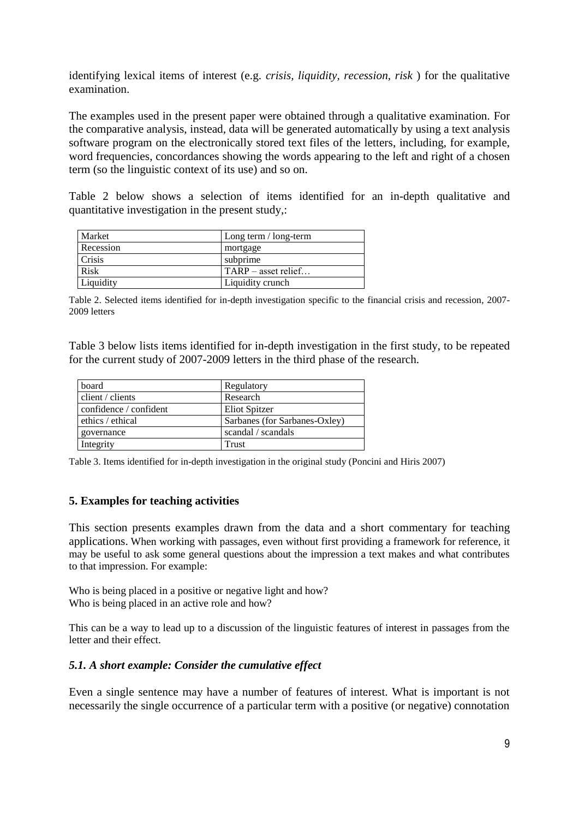identifying lexical items of interest (e.g. *crisis, liquidity, recession, risk* ) for the qualitative examination.

The examples used in the present paper were obtained through a qualitative examination. For the comparative analysis, instead, data will be generated automatically by using a text analysis software program on the electronically stored text files of the letters, including, for example, word frequencies, concordances showing the words appearing to the left and right of a chosen term (so the linguistic context of its use) and so on.

Table 2 below shows a selection of items identified for an in-depth qualitative and quantitative investigation in the present study,:

| Market    | Long term / long-term           |  |
|-----------|---------------------------------|--|
| Recession | mortgage                        |  |
| Crisis    | subprime                        |  |
| Risk      | $\mathsf{ITARP}$ – asset relief |  |
| Liquidity | Liquidity crunch                |  |

Table 2. Selected items identified for in-depth investigation specific to the financial crisis and recession, 2007- 2009 letters

Table 3 below lists items identified for in-depth investigation in the first study, to be repeated for the current study of 2007-2009 letters in the third phase of the research.

| board                  | Regulatory                    |
|------------------------|-------------------------------|
| client / clients       | Research                      |
| confidence / confident | <b>Eliot Spitzer</b>          |
| ethics / ethical       | Sarbanes (for Sarbanes-Oxley) |
| governance             | scandal / scandals            |
| Integrity              | Trust                         |

Table 3. Items identified for in-depth investigation in the original study (Poncini and Hiris 2007)

## **5. Examples for teaching activities**

This section presents examples drawn from the data and a short commentary for teaching applications. When working with passages, even without first providing a framework for reference, it may be useful to ask some general questions about the impression a text makes and what contributes to that impression. For example:

Who is being placed in a positive or negative light and how? Who is being placed in an active role and how?

This can be a way to lead up to a discussion of the linguistic features of interest in passages from the letter and their effect.

## *5.1. A short example: Consider the cumulative effect*

Even a single sentence may have a number of features of interest. What is important is not necessarily the single occurrence of a particular term with a positive (or negative) connotation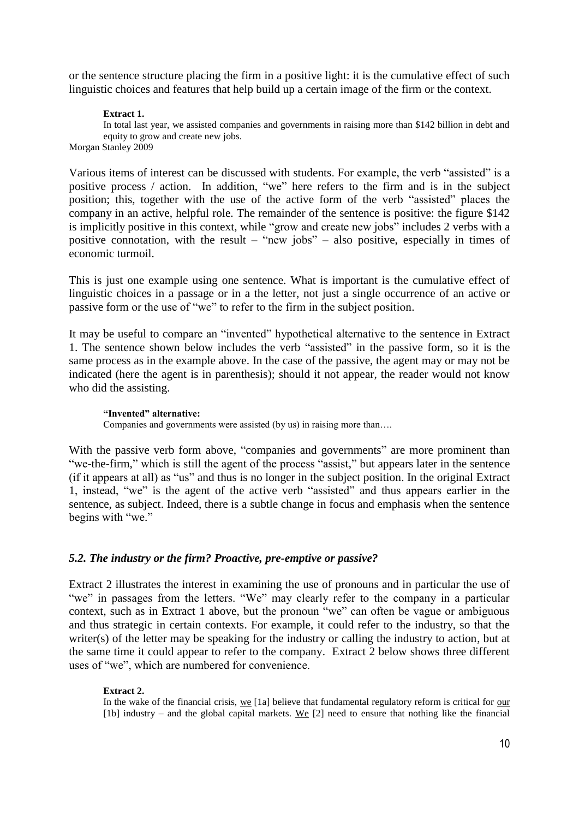or the sentence structure placing the firm in a positive light: it is the cumulative effect of such linguistic choices and features that help build up a certain image of the firm or the context.

#### **Extract 1.**

In total last year, we assisted companies and governments in raising more than \$142 billion in debt and equity to grow and create new jobs. Morgan Stanley 2009

Various items of interest can be discussed with students. For example, the verb "assisted" is a positive process / action. In addition, "we" here refers to the firm and is in the subject position; this, together with the use of the active form of the verb "assisted" places the company in an active, helpful role. The remainder of the sentence is positive: the figure \$142 is implicitly positive in this context, while "grow and create new jobs" includes 2 verbs with a positive connotation, with the result – "new jobs" – also positive, especially in times of economic turmoil.

This is just one example using one sentence. What is important is the cumulative effect of linguistic choices in a passage or in a the letter, not just a single occurrence of an active or passive form or the use of "we" to refer to the firm in the subject position.

It may be useful to compare an "invented" hypothetical alternative to the sentence in Extract 1. The sentence shown below includes the verb "assisted" in the passive form, so it is the same process as in the example above. In the case of the passive, the agent may or may not be indicated (here the agent is in parenthesis); should it not appear, the reader would not know who did the assisting.

#### **"Invented" alternative:**

Companies and governments were assisted (by us) in raising more than….

With the passive verb form above, "companies and governments" are more prominent than "we-the-firm," which is still the agent of the process "assist," but appears later in the sentence (if it appears at all) as "us" and thus is no longer in the subject position. In the original Extract 1, instead, "we" is the agent of the active verb "assisted" and thus appears earlier in the sentence, as subject. Indeed, there is a subtle change in focus and emphasis when the sentence begins with "we."

## *5.2. The industry or the firm? Proactive, pre-emptive or passive?*

Extract 2 illustrates the interest in examining the use of pronouns and in particular the use of "we" in passages from the letters. "We" may clearly refer to the company in a particular context, such as in Extract 1 above, but the pronoun "we" can often be vague or ambiguous and thus strategic in certain contexts. For example, it could refer to the industry, so that the writer(s) of the letter may be speaking for the industry or calling the industry to action, but at the same time it could appear to refer to the company. Extract 2 below shows three different uses of "we", which are numbered for convenience.

#### **Extract 2.**

In the wake of the financial crisis, we [1a] believe that fundamental regulatory reform is critical for our [1b] industry – and the global capital markets. We [2] need to ensure that nothing like the financial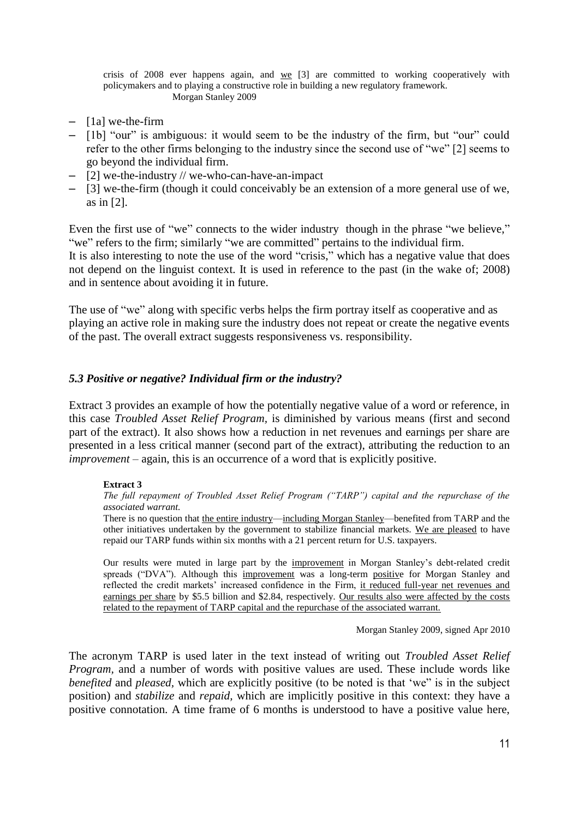crisis of 2008 ever happens again, and  $\underline{we}$  [3] are committed to working cooperatively with policymakers and to playing a constructive role in building a new regulatory framework. Morgan Stanley 2009

- [1a] we-the-firm
- [1b] "our" is ambiguous: it would seem to be the industry of the firm, but "our" could refer to the other firms belonging to the industry since the second use of "we" [2] seems to go beyond the individual firm.
- [2] we-the-industry // we-who-can-have-an-impact
- [3] we-the-firm (though it could conceivably be an extension of a more general use of we, as in [2].

Even the first use of "we" connects to the wider industry though in the phrase "we believe," "we" refers to the firm; similarly "we are committed" pertains to the individual firm.

It is also interesting to note the use of the word "crisis," which has a negative value that does not depend on the linguist context. It is used in reference to the past (in the wake of; 2008) and in sentence about avoiding it in future.

The use of "we" along with specific verbs helps the firm portray itself as cooperative and as playing an active role in making sure the industry does not repeat or create the negative events of the past. The overall extract suggests responsiveness vs. responsibility.

#### *5.3 Positive or negative? Individual firm or the industry?*

Extract 3 provides an example of how the potentially negative value of a word or reference, in this case *Troubled Asset Relief Program,* is diminished by various means (first and second part of the extract). It also shows how a reduction in net revenues and earnings per share are presented in a less critical manner (second part of the extract), attributing the reduction to an *improvement* – again, this is an occurrence of a word that is explicitly positive.

#### **Extract 3**

*The full repayment of Troubled Asset Relief Program ("TARP") capital and the repurchase of the associated warrant.* 

There is no question that the entire industry—including Morgan Stanley—benefited from TARP and the other initiatives undertaken by the government to stabilize financial markets. We are pleased to have repaid our TARP funds within six months with a 21 percent return for U.S. taxpayers.

Our results were muted in large part by the improvement in Morgan Stanley's debt-related credit spreads ("DVA"). Although this improvement was a long-term positive for Morgan Stanley and reflected the credit markets' increased confidence in the Firm, it reduced full-year net revenues and earnings per share by \$5.5 billion and \$2.84, respectively. Our results also were affected by the costs related to the repayment of TARP capital and the repurchase of the associated warrant.

Morgan Stanley 2009, signed Apr 2010

The acronym TARP is used later in the text instead of writing out *Troubled Asset Relief Program*, and a number of words with positive values are used. These include words like *benefited* and *pleased*, which are explicitly positive (to be noted is that 'we' is in the subject position) and *stabilize* and *repaid,* which are implicitly positive in this context: they have a positive connotation. A time frame of 6 months is understood to have a positive value here,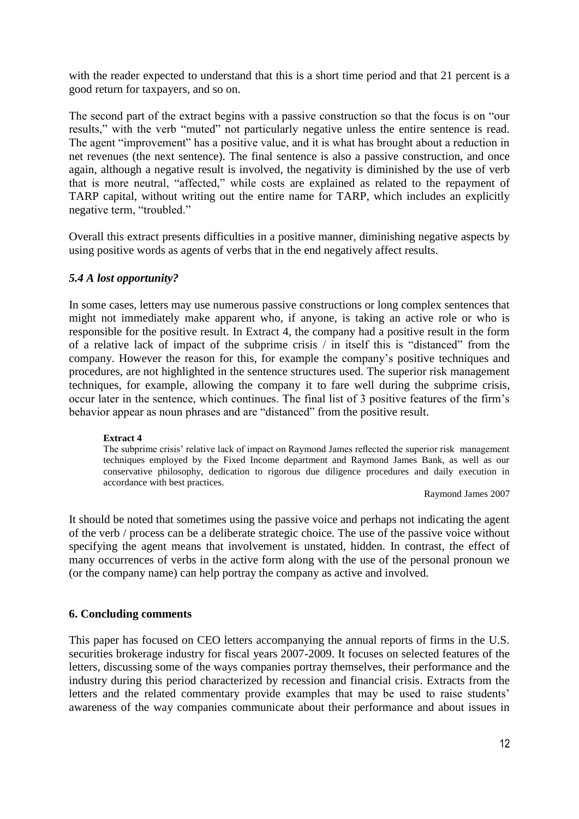with the reader expected to understand that this is a short time period and that 21 percent is a good return for taxpayers, and so on.

The second part of the extract begins with a passive construction so that the focus is on "our results," with the verb "muted" not particularly negative unless the entire sentence is read. The agent "improvement" has a positive value, and it is what has brought about a reduction in net revenues (the next sentence). The final sentence is also a passive construction, and once again, although a negative result is involved, the negativity is diminished by the use of verb that is more neutral, "affected," while costs are explained as related to the repayment of TARP capital, without writing out the entire name for TARP, which includes an explicitly negative term, "troubled."

Overall this extract presents difficulties in a positive manner, diminishing negative aspects by using positive words as agents of verbs that in the end negatively affect results.

# *5.4 A lost opportunity?*

In some cases, letters may use numerous passive constructions or long complex sentences that might not immediately make apparent who, if anyone, is taking an active role or who is responsible for the positive result. In Extract 4, the company had a positive result in the form of a relative lack of impact of the subprime crisis / in itself this is "distanced" from the company. However the reason for this, for example the company's positive techniques and procedures, are not highlighted in the sentence structures used. The superior risk management techniques, for example, allowing the company it to fare well during the subprime crisis, occur later in the sentence, which continues. The final list of 3 positive features of the firm's behavior appear as noun phrases and are "distanced" from the positive result.

#### **Extract 4**

The subprime crisis' relative lack of impact on Raymond James reflected the superior risk management techniques employed by the Fixed Income department and Raymond James Bank, as well as our conservative philosophy, dedication to rigorous due diligence procedures and daily execution in accordance with best practices.

Raymond James 2007

It should be noted that sometimes using the passive voice and perhaps not indicating the agent of the verb / process can be a deliberate strategic choice. The use of the passive voice without specifying the agent means that involvement is unstated, hidden. In contrast, the effect of many occurrences of verbs in the active form along with the use of the personal pronoun we (or the company name) can help portray the company as active and involved.

## **6. Concluding comments**

This paper has focused on CEO letters accompanying the annual reports of firms in the U.S. securities brokerage industry for fiscal years 2007-2009. It focuses on selected features of the letters, discussing some of the ways companies portray themselves, their performance and the industry during this period characterized by recession and financial crisis. Extracts from the letters and the related commentary provide examples that may be used to raise students' awareness of the way companies communicate about their performance and about issues in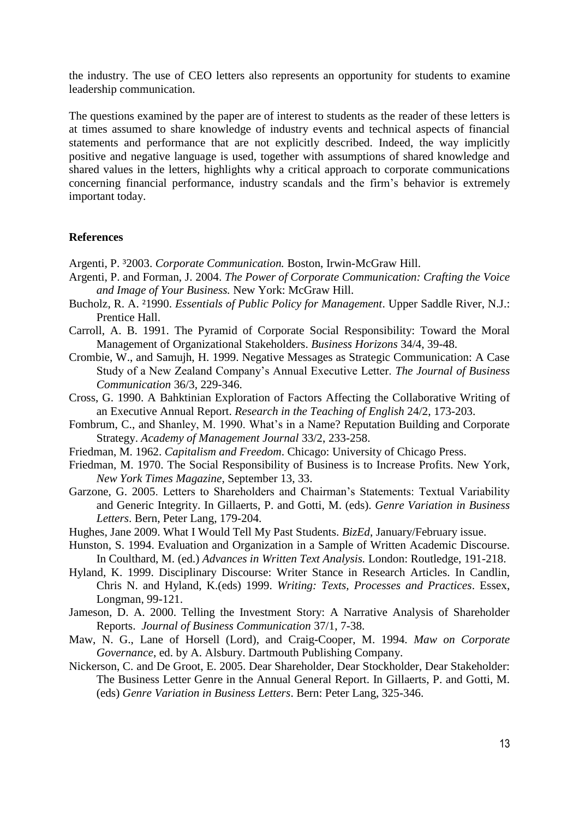the industry. The use of CEO letters also represents an opportunity for students to examine leadership communication.

The questions examined by the paper are of interest to students as the reader of these letters is at times assumed to share knowledge of industry events and technical aspects of financial statements and performance that are not explicitly described. Indeed, the way implicitly positive and negative language is used, together with assumptions of shared knowledge and shared values in the letters, highlights why a critical approach to corporate communications concerning financial performance, industry scandals and the firm's behavior is extremely important today.

#### **References**

Argenti, P. ³2003. *Corporate Communication.* Boston, Irwin-McGraw Hill.

- Argenti, P. and Forman, J. 2004. *The Power of Corporate Communication: Crafting the Voice and Image of Your Business.* New York: McGraw Hill.
- Bucholz, R. A. ²1990. *Essentials of Public Policy for Management*. Upper Saddle River, N.J.: Prentice Hall.
- Carroll, A. B. 1991. The Pyramid of Corporate Social Responsibility: Toward the Moral Management of Organizational Stakeholders. *Business Horizons* 34/4, 39-48.
- Crombie, W., and Samujh, H. 1999. Negative Messages as Strategic Communication: A Case Study of a New Zealand Company's Annual Executive Letter. *The Journal of Business Communication* 36/3, 229-346.
- Cross, G. 1990. A Bahktinian Exploration of Factors Affecting the Collaborative Writing of an Executive Annual Report. *Research in the Teaching of English* 24/2, 173-203.
- Fombrum, C., and Shanley, M. 1990. What's in a Name? Reputation Building and Corporate Strategy. *Academy of Management Journal* 33/2, 233-258.
- Friedman, M. 1962. *Capitalism and Freedom*. Chicago: University of Chicago Press.
- Friedman, M. 1970. The Social Responsibility of Business is to Increase Profits. New York, *New York Times Magazine*, September 13, 33.
- Garzone, G. 2005. Letters to Shareholders and Chairman's Statements: Textual Variability and Generic Integrity. In Gillaerts, P. and Gotti, M. (eds). *Genre Variation in Business Letters*. Bern, Peter Lang, 179-204.
- Hughes, Jane 2009. What I Would Tell My Past Students. *BizEd*, January/February issue.
- Hunston, S. 1994. Evaluation and Organization in a Sample of Written Academic Discourse. In Coulthard, M. (ed.) *Advances in Written Text Analysis.* London: Routledge, 191-218.
- Hyland, K. 1999. Disciplinary Discourse: Writer Stance in Research Articles. In Candlin, Chris N. and Hyland, K.(eds) 1999. *Writing: Texts, Processes and Practices*. Essex, Longman, 99-121.
- Jameson, D. A. 2000. Telling the Investment Story: A Narrative Analysis of Shareholder Reports. *Journal of Business Communication* 37/1, 7-38.
- Maw, N. G., Lane of Horsell (Lord), and Craig-Cooper, M. 1994. *Maw on Corporate Governance*, ed. by A. Alsbury. Dartmouth Publishing Company.
- Nickerson, C. and De Groot, E. 2005. Dear Shareholder, Dear Stockholder, Dear Stakeholder: The Business Letter Genre in the Annual General Report. In Gillaerts, P. and Gotti, M. (eds) *Genre Variation in Business Letters*. Bern: Peter Lang, 325-346.